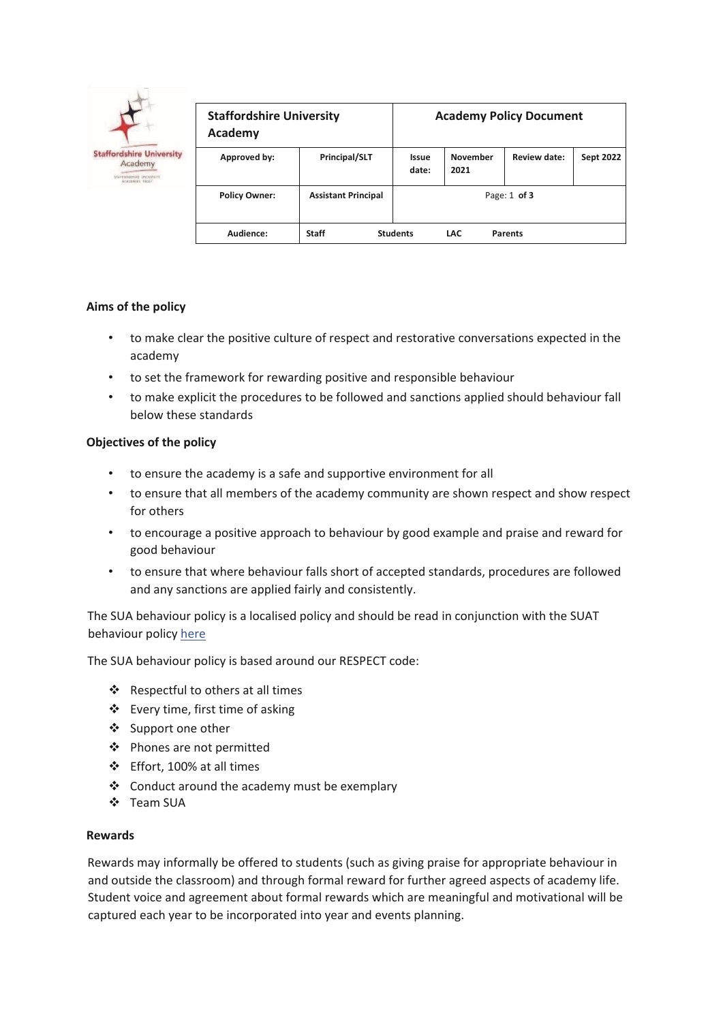

| <b>Staffordshire University</b><br><b>Academy</b> |                            | <b>Academy Policy Document</b> |                         |                |                  |
|---------------------------------------------------|----------------------------|--------------------------------|-------------------------|----------------|------------------|
| Approved by:                                      | Principal/SLT              | Issue<br>date:                 | <b>November</b><br>2021 | Review date:   | <b>Sept 2022</b> |
| <b>Policy Owner:</b>                              | <b>Assistant Principal</b> | Page: $1$ of 3                 |                         |                |                  |
| Audience:                                         | <b>Staff</b>               | <b>Students</b>                | <b>LAC</b>              | <b>Parents</b> |                  |

## **Aims of the policy**

- to make clear the positive culture of respect and restorative conversations expected in the academy
- to set the framework for rewarding positive and responsible behaviour
- to make explicit the procedures to be followed and sanctions applied should behaviour fall below these standards

## **Objectives of the policy**

- to ensure the academy is a safe and supportive environment for all
- to ensure that all members of the academy community are shown respect and show respect for others
- to encourage a positive approach to behaviour by good example and praise and reward for good behaviour
- to ensure that where behaviour falls short of accepted standards, procedures are followed and any sanctions are applied fairly and consistently.

The SUA behaviour policy is a localised policy and should be read in conjunction with the SUAT behaviour policy here

The SUA behaviour policy is based around our RESPECT code:

- ❖ Respectful to others at all times
- ❖ Every time, first time of asking
- ❖ Support one other
- ❖ Phones are not permitted
- ❖ Effort, 100% at all times
- ❖ Conduct around the academy must be exemplary
- ❖ Team SUA

## **Rewards**

Rewards may informally be offered to students (such as giving praise for appropriate behaviour in and outside the classroom) and through formal reward for further agreed aspects of academy life. Student voice and agreement about formal rewards which are meaningful and motivational will be captured each year to be incorporated into year and events planning.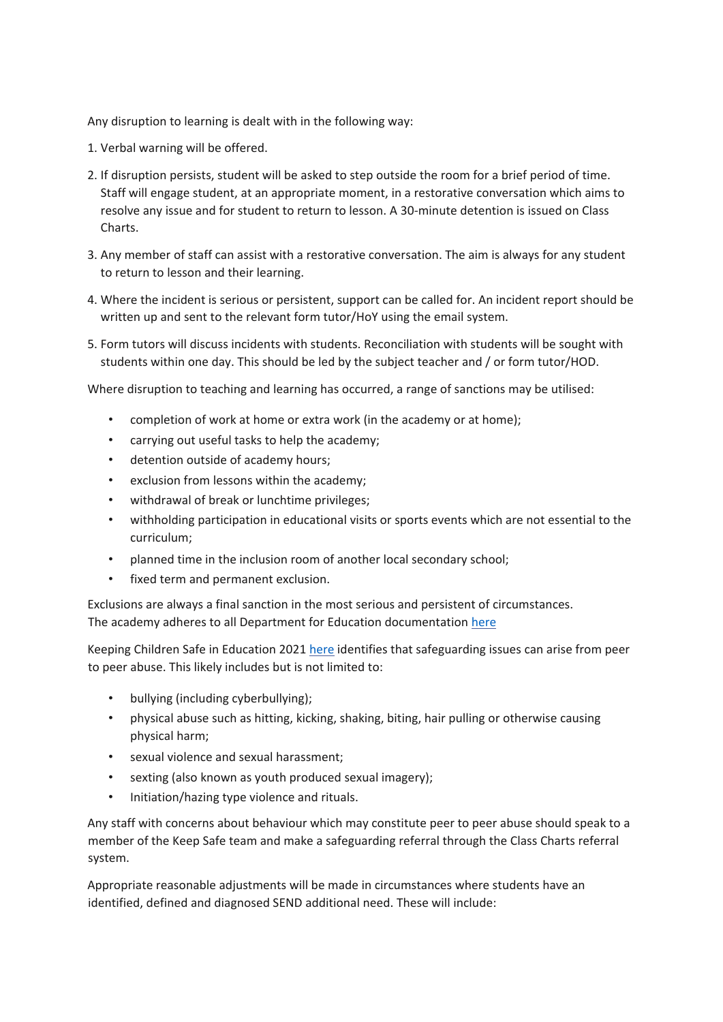Any disruption to learning is dealt with in the following way:

- 1. Verbal warning will be offered.
- 2. If disruption persists, student will be asked to step outside the room for a brief period of time. Staff will engage student, at an appropriate moment, in a restorative conversation which aims to resolve any issue and for student to return to lesson. A 30-minute detention is issued on Class Charts.
- 3. Any member of staff can assist with a restorative conversation. The aim is always for any student to return to lesson and their learning.
- 4. Where the incident is serious or persistent, support can be called for. An incident report should be written up and sent to the relevant form tutor/HoY using the email system.
- 5. Form tutors will discuss incidents with students. Reconciliation with students will be sought with students within one day. This should be led by the subject teacher and / or form tutor/HOD.

Where disruption to teaching and learning has occurred, a range of sanctions may be utilised:

- completion of work at home or extra work (in the academy or at home);
- carrying out useful tasks to help the academy;
- detention outside of academy hours;
- exclusion from lessons within the academy;
- withdrawal of break or lunchtime privileges;
- withholding participation in educational visits or sports events which are not essential to the curriculum;
- planned time in the inclusion room of another local secondary school;
- fixed term and permanent exclusion.

Exclusions are always a final sanction in the most serious and persistent of circumstances. The academy adheres to all Department for Education documentation [here](https://www.gov.uk/government/publications/school-exclusion) 

Keeping Children Safe in Education 2021 [here](https://www.gov.uk/government/publications/keeping-children-safe-in-education--2) identifies that safeguarding issues can arise from peer to peer abuse. This likely includes but is not limited to:

- bullying (including cyberbullying);
- physical abuse such as hitting, kicking, shaking, biting, hair pulling or otherwise causing physical harm;
- sexual violence and sexual harassment;
- sexting (also known as youth produced sexual imagery);
- Initiation/hazing type violence and rituals.

Any staff with concerns about behaviour which may constitute peer to peer abuse should speak to a member of the Keep Safe team and make a safeguarding referral through the Class Charts referral system.

Appropriate reasonable adjustments will be made in circumstances where students have an identified, defined and diagnosed SEND additional need. These will include: